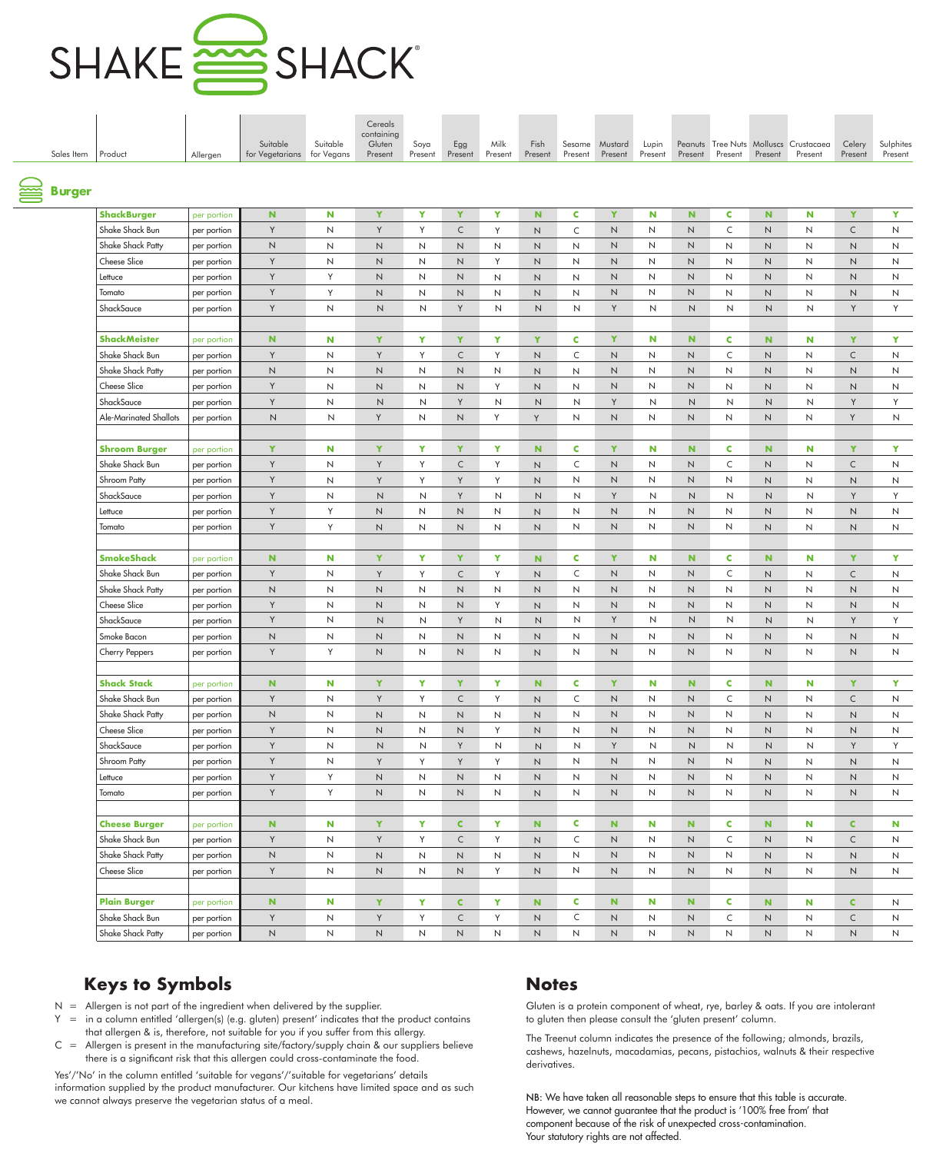

| Sales Item    | Product                | Allergen    | Suitable<br>for Vegetarians for Vegans | Suitable     | Cereals<br>containing<br>Gluten<br>Present | Soya<br>Present | Egg<br>Present | Milk<br>Present | Fish<br>Present | Sesame<br>Present | Mustard<br>Present | Lupin<br>Present | Present        | Present        | Present      | Peanuts Tree Nuts Molluscs Crustacaea<br>Present | Celery<br>Present | Sulphites<br>Present |
|---------------|------------------------|-------------|----------------------------------------|--------------|--------------------------------------------|-----------------|----------------|-----------------|-----------------|-------------------|--------------------|------------------|----------------|----------------|--------------|--------------------------------------------------|-------------------|----------------------|
| <b>Surger</b> |                        |             |                                        |              |                                            |                 |                |                 |                 |                   |                    |                  |                |                |              |                                                  |                   |                      |
|               |                        |             |                                        |              |                                            |                 |                |                 |                 |                   |                    |                  |                |                |              |                                                  |                   |                      |
|               | <b>ShackBurger</b>     | per portion | $\mathbf N$                            | N            | Y                                          | Y               | Y              | Y               | N               | C                 | Y                  | N                | N.             | C              | N            | N                                                | Y                 | Y                    |
|               | Shake Shack Bun        | per portion | Y                                      | $\mathsf{N}$ | Y                                          | Y               | $\mathsf{C}$   | Y               | $\mathsf{N}$    | $\mathsf{C}$      | $\mathsf{N}$       | N                | N              | C              | N            | $\mathsf{N}$                                     | $\subset$         | N                    |
|               | Shake Shack Patty      | per portion | $\mathsf N$                            | N            | $\mathsf N$                                | $\mathsf{N}$    | N              | N               | $\mathsf{N}$    | N                 | N                  | N                | N              | $\mathsf{N}$   | N            | $\mathsf{N}$                                     | $\mathsf{N}$      | N                    |
|               | <b>Cheese Slice</b>    | per portion | Y                                      | Ν            | N                                          | N               | N              | Y               | $\mathsf{N}$    | N                 | N                  | N                | N              | N              | N            | $\mathsf{N}$                                     | N                 | N                    |
|               | Lettuce                | per portion | Y                                      | Y            | $\mathsf N$                                | $\mathsf{N}$    | N              | N               | $\mathsf{N}$    | N                 | $\mathsf N$        | N                | N              | $\mathsf{N}$   | N            | $\mathsf{N}$                                     | $\mathsf{N}$      | N                    |
|               | Tomato                 | per portion | Y                                      | Y            | N                                          | N               | N              | N               | $\mathsf{N}$    | $\mathsf{N}$      | N                  | N                | N              | N              | $\mathsf{N}$ | $\mathsf{N}$                                     | N                 | N                    |
|               | ShackSauce             | per portion | Y                                      | N            | $\mathsf N$                                | N               | Y              | N               | N               | $\mathsf{N}$      | Y                  | N                | $\mathsf{N}$   | N              | $\mathsf N$  | N                                                | Y                 | Y                    |
|               | <b>ShackMeister</b>    | per portion | ${\bf N}$                              | N            | Y                                          | Y               | Y              | Y               | Y               | C                 | Y                  | N                | N.             | C              | $\mathbf N$  | N                                                | Y                 | Y                    |
|               | Shake Shack Bun        | per portion | Y                                      | N            | Y                                          | Y               | $\mathsf{C}$   | Y               | $\mathsf N$     | $\mathsf{C}$      | N                  | N                | N              | C              | N            | $\mathsf{N}$                                     | $\mathsf{C}$      | N                    |
|               | Shake Shack Patty      | per portion | $\mathsf{N}$                           | N            | N                                          | N               | N              | N               | N               | N                 | N                  | N                | N              | $\mathsf{N}$   | N            | $\mathsf{N}$                                     | N                 | N                    |
|               | Cheese Slice           | per portion | Y                                      | N            | $\mathsf{N}$                               | N               | N              | Y               | $\mathsf N$     | N                 | N                  | N                | N              | N              | N            | N                                                | N                 | N                    |
|               | ShackSauce             | per portion | Y                                      | N            | $\mathsf N$                                | $\mathsf{N}$    | Y              | N               | N               | $\mathsf{N}$      | Y                  | N                | $\mathsf N$    | N              | $\mathsf N$  | N                                                | Y                 | Y                    |
|               | Ale-Marinated Shallots | per portion | $\mathsf N$                            | N            | Y                                          | N               | N              | Y               | Y               | N                 | N                  | N                | N              | N              | $\mathsf N$  | N                                                | Y                 | N                    |
|               | <b>Shroom Burger</b>   | per portion | Y                                      | N            | Y                                          | Y               | Y              | Y               | N               | C                 | Y                  | N                | N.             | C              | $\mathbf N$  | N                                                | Y                 | Y                    |
|               | Shake Shack Bun        | per portion | Y                                      | N            | Y                                          | Y               | $\mathsf{C}$   | Y               | N               | C                 | N                  | N                | N              | C              | N            | N                                                | $\mathsf{C}$      | N                    |
|               | Shroom Patty           | per portion | Y                                      | N            | Y                                          | Y               | Y              | Y               | $\mathsf{N}$    | N                 | $\mathsf{N}$       | N                | N              | N              | N            | $\mathsf{N}$                                     | $\mathsf{N}$      | N                    |
|               | ShackSauce             | per portion | Y                                      | Ν            | $\mathsf{N}$                               | N               | Y              | N               | N               | N                 | Y                  | N                | $\mathsf N$    | N              | $\mathsf N$  | N                                                | Y                 | Y                    |
|               | Lettuce                | per portion | Y                                      | Y            | N                                          | N               | N              | N               | $\mathsf{N}$    | N                 | N                  | N                | N              | N              | $\mathsf N$  | $\mathsf{N}$                                     | $\mathsf{N}$      | N                    |
|               | Tomato                 | per portion | Y                                      | Y            | N                                          | N               | N              | N               | $\mathsf{N}$    | $\mathsf{N}$      | N                  | N                | N              | $\mathsf{N}$   | N            | $\mathsf{N}$                                     | N                 | $\mathsf{N}$         |
|               |                        |             |                                        |              |                                            |                 |                |                 |                 |                   |                    |                  |                |                |              |                                                  |                   |                      |
|               | <b>SmokeShack</b>      | per portion | ${\bf N}$                              | N            | Y                                          | $\mathbf Y$     | Y              | Y               | $\mathbf N$     | C                 | Y                  | N                | N              | C              | $\mathbf N$  | N                                                | Y                 | Y                    |
|               | Shake Shack Bun        | per portion | Y                                      | N            | Y                                          | Y               | $\mathsf{C}$   | Y               | $\mathsf{N}$    | C                 | N                  | N                | N              | C              | N            | $\mathsf{N}$                                     | $\subset$         | N                    |
|               | Shake Shack Patty      | per portion | $\mathsf N$                            | N            | $\mathsf N$                                | N               | N              | N               | $\mathsf{N}$    | N                 | N                  | N                | N              | $\mathsf{N}$   | N            | $\mathsf{N}$                                     | $\mathsf{N}$      | N                    |
|               | Cheese Slice           | per portion | Y                                      | N            | N                                          | N               | N              | Y               | N               | N                 | N                  | N                | N              | N              | N            | $\mathsf{N}$                                     | N                 | N                    |
|               | ShackSauce             | per portion | Y                                      | N            | $\mathsf{N}$                               | N               | Y              | N               | N               | N                 | Y                  | N                | N              | N              | N            | N                                                | Y                 | Y                    |
|               | Smoke Bacon            | per portion | N                                      | N            | N                                          | N               | N              | N               | $\mathsf{N}$    | $\mathsf{N}$      | $\mathsf{N}$       | N                | $\overline{N}$ | $\mathsf{N}$   | $\mathsf{N}$ | $\mathsf{N}$                                     | $\mathsf{N}$      | $\mathsf{N}$         |
|               | Cherry Peppers         | per portion | Y                                      | Y            | $\mathsf N$                                | $\mathsf N$     | N              | $\mathsf{N}$    | $\mathsf{N}$    | $\mathsf{N}$      | $\mathsf{N}$       | N                | N              | $\mathsf N$    | $\mathsf N$  | $\mathsf{N}$                                     | $\mathsf{N}$      | N                    |
|               | <b>Shack Stack</b>     | per portion | $\mathbf N$                            | N            | Y                                          | Y               | Y              | Y               | N               | C                 | Y                  | N                | N.             | C              | N.           | N                                                | Y                 | $\mathbf{Y}$         |
|               | Shake Shack Bun        | per portion | Y                                      | $\mathsf{N}$ | Y                                          | Y               | $\mathsf C$    | Y               | $\mathsf{N}$    | $\mathsf{C}$      | $\mathsf N$        | N                | N              | $\mathsf{C}$   | $\mathsf N$  | $\mathsf{N}$                                     | $\mathsf C$       | N                    |
|               | Shake Shack Patty      | per portion | $\hbox{N}$                             | N            | $\mathsf{N}\xspace$                        | $\mathsf{N}$    | $\mathsf{N}$   | $\mathsf{N}$    | $\mathsf N$     | N                 | $\mathsf N$        | N                | N              | $\mathsf{N}$   | N            | $\mathsf{N}$                                     | $\mathsf N$       | $\mathsf{N}$         |
|               | Cheese Slice           | per portion | Y                                      | N            | $\mathsf{N}\xspace$                        | $\mathsf{N}$    | N              | Y               | $\mathsf{N}$    | N                 | N                  | N                | N              | N              | N            | N                                                | $\mathsf{N}$      | N                    |
|               | ShackSauce             | per portion | Y                                      | N            | $\mathsf{N}\xspace$                        | N               | Y              | $\mathsf{N}$    | $\hbox{N}$      | $\mathsf N$       | Y                  | $\mathsf{N}$     | $\mathsf{N}$   | N              | $\mathsf N$  | N                                                | Y                 | Y                    |
|               | Shroom Patty           | per portion | Y                                      | N            | Y                                          | Y               | Y              | Y               | $\mathsf{N}$    | $\mathsf{N}$      | $\mathsf N$        | N                | N              | N              | N            | N                                                | N                 | N                    |
|               | Lettuce                | per portion | Y                                      | Y            | $\sf N$                                    | $\mathsf{N}$    | $\hbox{N}$     | N               | $\hbox{N}$      | $\mathsf{N}$      | $\mathsf N$        | N                | N              | N              | $\mathsf N$  | $\mathsf{N}$                                     | $\mathsf N$       | ${\sf N}$            |
|               | Tomato                 | per portion | Y                                      | Y            | $\mathsf{N}\xspace$                        | $\mathsf{N}$    | $\hbox{N}$     | $\mathsf{N}$    | $\mathsf{N}$    | $\mathsf{N}$      | $\mathsf N$        | N                | N              | $\overline{N}$ | $\hbox{N}$   | $\mathsf{N}$                                     | $\mathsf N$       | N                    |
|               | <b>Cheese Burger</b>   | per portion | ${\bf N}$                              | N            | Y                                          | Y               | $\mathbf{C}$   | Y               | $\mathbf N$     | C                 | ${\bf N}$          | N                | N.             | C              | $\mathbf N$  | N                                                | $\mathbf{C}$      | $\mathbf N$          |
|               | Shake Shack Bun        | per portion | Y                                      | N            | Y                                          | Y               | $\mathsf{C}$   | Y               | $\mathsf{N}$    | $\mathsf C$       | N                  | N                | N              | C              | $\mathsf N$  | N                                                | $\mathsf{C}$      | N                    |
|               | Shake Shack Patty      | per portion | $\hbox{N}$                             | N            | $\sf N$                                    | $\mathsf{N}$    | $\hbox{N}$     | N               | $\mathsf N$     | $\mathsf{N}$      | $\mathsf N$        | N                | N              | $\overline{N}$ | N            | N                                                | $\mathsf N$       | N                    |
|               | Cheese Slice           | per portion | Y                                      | N            | $\mathsf{N}\xspace$                        | $\mathsf{N}$    | $\hbox{N}$     | Y               | $\mathsf{N}$    | $\mathsf{N}$      | $\mathsf N$        | N                | N              | $\mathsf{N}$   | $\mathsf N$  | $\mathsf{N}$                                     | $\mathsf N$       | N                    |
|               |                        |             |                                        |              |                                            |                 |                |                 |                 |                   |                    |                  |                |                |              |                                                  |                   |                      |
|               | <b>Plain Burger</b>    | per portion | ${\bf N}$                              | N            | Y                                          | $\mathbf Y$     | $\mathsf{C}$   | Y               | $\mathbf N$     | <b>C</b>          | N                  | N                | N.             | C              | N            | N                                                | $\mathbf{C}$      | N                    |
|               | Shake Shack Bun        | per portion | Y                                      | N            | Y                                          | Y               | $\mathsf{C}$   | Y               | $\mathsf{N}$    | $\mathsf C$       | $\mathsf N$        | N                | N              | C              | $\mathsf N$  | N                                                | $\mathsf C$       | N                    |
|               | Shake Shack Patty      | per portion | $\hbox{N}$                             | N            | $\sf N$                                    | $\mathsf N$     | $\hbox{N}$     | $\mathsf{N}$    | N               | $\mathsf{N}$      | $\mathsf N$        | N                | N              | N              | $\mathsf N$  | N                                                | $\hbox{N}$        | N                    |

- $N =$  Allergen is not part of the ingredient when delivered by the supplier.
- $Y =$  in a column entitled 'allergen(s) (e.g. gluten) present' indicates that the product contains that allergen & is, therefore, not suitable for you if you suffer from this allergy.
- $C =$  Allergen is present in the manufacturing site/factory/supply chain & our suppliers believe there is a significant risk that this allergen could cross-contaminate the food.

Yes'/'No' in the column entitled 'suitable for vegans'/'suitable for vegetarians' details information supplied by the product manufacturer. Our kitchens have limited space and as such we cannot always preserve the vegetarian status of a meal.

Gluten is a protein component of wheat, rye, barley & oats. If you are intolerant to gluten then please consult the 'gluten present' column.

The Treenut column indicates the presence of the following; almonds, brazils, cashews, hazelnuts, macadamias, pecans, pistachios, walnuts & their respective derivatives.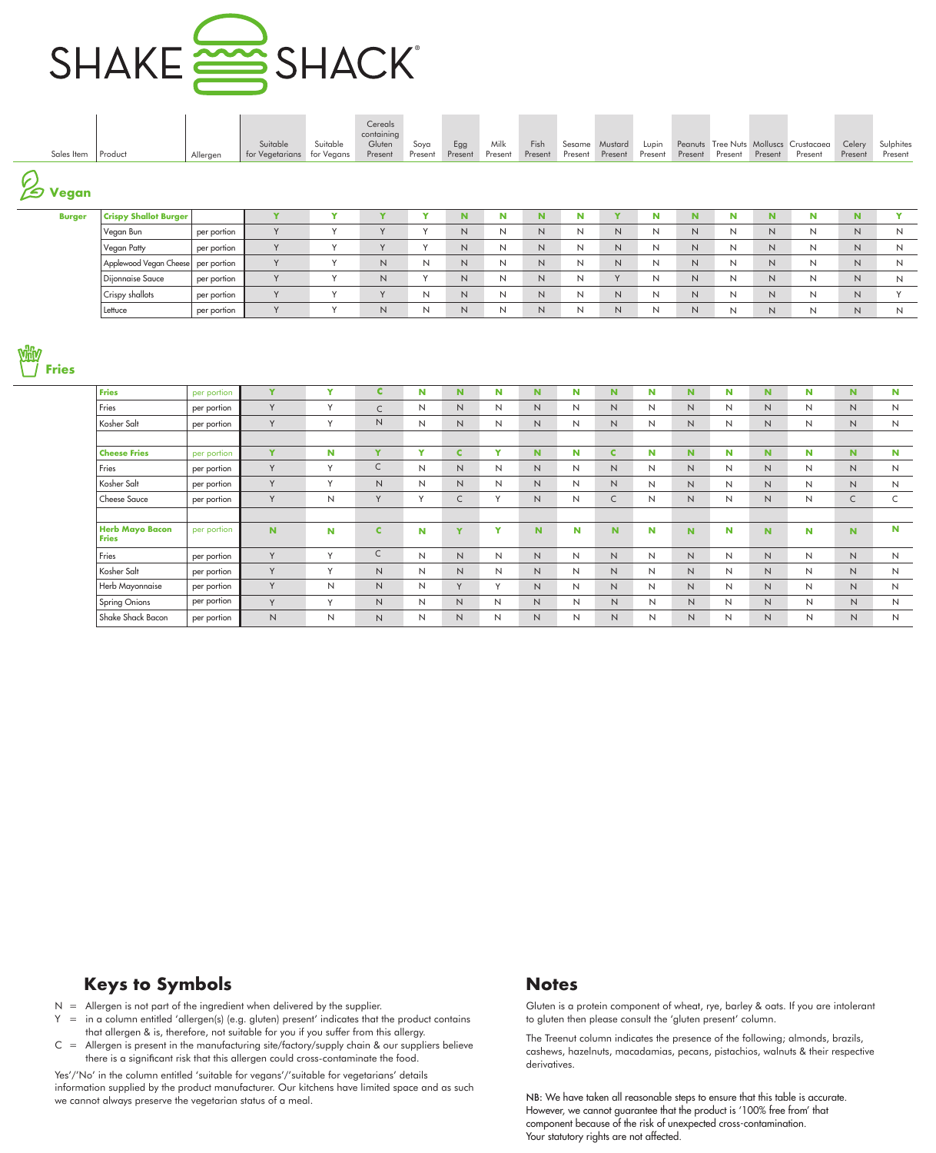

| Sales Item       | Product                            | Allergen    | Suitable<br>for Vegetarians | Suitable<br>for Vegans | Cereals<br>containing<br>Gluten<br>Present | Soya<br>Present | Egg<br>Present | Milk<br>Present | Fish<br>Present | Sesame<br>Present | Mustard<br>Present | Lupin<br>Present | Present | Present | Present  | Peanuts Tree Nuts Molluscs Crustacaea<br>Present | Celery<br>Present | Sulphites<br>Present |
|------------------|------------------------------------|-------------|-----------------------------|------------------------|--------------------------------------------|-----------------|----------------|-----------------|-----------------|-------------------|--------------------|------------------|---------|---------|----------|--------------------------------------------------|-------------------|----------------------|
| G.<br>D<br>Vegan |                                    |             |                             |                        |                                            |                 |                |                 |                 |                   |                    |                  |         |         |          |                                                  |                   |                      |
| <b>Burger</b>    | <b>Crispy Shallot Burger</b>       |             | $\overline{\phantom{a}}$    | v                      | Y                                          | $\mathbf{v}$    | N.             | N               | N               | N                 | Y                  | N                | N.      | N       | <b>N</b> | N                                                | N.                | $\mathbf{v}$         |
|                  | Vegan Bun                          | per portion | Y                           |                        | Y                                          | $\sqrt{}$       | N              | N               | N               | N                 | N                  | N                | N       | N       | N        | N                                                | N                 | N                    |
|                  | Vegan Patty                        | per portion | $\vee$                      |                        | $\vee$                                     |                 | N              | N               | N               | N                 | N                  | N                | N       | N       | N.       | N                                                | N                 | N                    |
|                  | Applewood Vegan Cheese per portion |             | Y                           | $\checkmark$           | $\mathsf{N}$                               | И               | N              | N               | $\mathsf{N}$    | N                 | $\mathsf{N}$       | N                | N       | N       | N.       | N                                                | N                 | N                    |
|                  | Dijonnaise Sauce                   | per portion | Y                           |                        | $\mathsf{N}$                               | $\sqrt{ }$      | N              | N               | N               | N                 | V                  | N                | N       | N       | N        | N                                                | N                 | N                    |
|                  | <sup>I</sup> Crispy shallots       | per portion | $\vee$                      | $\checkmark$           | $\vee$                                     | Ν               | N              | N               | N               | N                 | $\mathsf{N}$       | N                | N       | N       | N        | N                                                | N.                |                      |



| <b>Fries</b>                           | per portion | Y              | Y | C            | N         | N.       | N      | <b>N</b>     | N | N.           | N | N.           | N | <b>N</b> | N | N.           | N |
|----------------------------------------|-------------|----------------|---|--------------|-----------|----------|--------|--------------|---|--------------|---|--------------|---|----------|---|--------------|---|
| Fries                                  | per portion | Y              | Y | $\mathsf{C}$ | N         | N        | N      | N            | N | N            | N | N            | N | N        | N | N            | N |
| Kosher Salt                            | per portion | Y              | Y | Ν            | N         | N        | N      | N            | N | N            | N | N            | N | N        | N | N            | N |
|                                        |             |                |   |              |           |          |        |              |   |              |   |              |   |          |   |              |   |
| <b>Cheese Fries</b>                    | per portion | Y              | N | Y            | Y         | C        | v      | <b>N</b>     | N | C            | N | N.           | N | <b>N</b> | N | N.           | N |
| Fries                                  | per portion | Y              | Y | C            | N         | N        | N      | N            | N | N            | N | N            | N | N        | N | N            | N |
| Kosher Salt                            | per portion | Y              | Y | N            | N         | N        | N      | N            | N | N            | N | N            | N | N        | N | N            | N |
| <b>Cheese Sauce</b>                    | per portion | Y              | N | Y            | $\sqrt{}$ | C        | $\vee$ | N            | N | C            | N | N            | N | N        | N | $\mathsf{C}$ | C |
|                                        |             |                |   |              |           |          |        |              |   |              |   |              |   |          |   |              |   |
| <b>Herb Mayo Bacon</b><br><b>Fries</b> | per portion | N.             | N | C            | N         | <b>Y</b> | v      | N            | N | N            | N | N.           | N | <b>N</b> | N | N            | N |
| Fries                                  | per portion | Y              | Y | U            | N         | N        | N      | N            | N | N            | N | N            | N | N        | N | N            | N |
| Kosher Salt                            | per portion | Y              | Y | N            | N         | N        | N      | N            | N | N            | N | $\mathsf{N}$ | N | N        | N | N            | N |
| Herb Mayonnaise                        | per portion | Y              | N | N            | N         | Y        | Y      | N            | N | N            | N | N            | N | N        | N | N            | N |
| <b>Spring Onions</b>                   | per portion | Y              | Y | N            | N         | N        | N      | N            | N | $\mathsf{N}$ | N | N            | N | N        | N | N            | N |
| Shake Shack Bacon                      | per portion | $\overline{N}$ | N | Ν            | N         | N        | N      | $\mathsf{N}$ | N | N            | N | N            | N | N        | N | $\mathsf{N}$ | N |

Lettuce per portion Y Y N N N N N N N N N N N N N N

## **Keys to Symbols Notes**

- $N =$  Allergen is not part of the ingredient when delivered by the supplier.
- $Y =$  in a column entitled 'allergen(s) (e.g. gluten) present' indicates that the product contains that allergen & is, therefore, not suitable for you if you suffer from this allergy.
- $C =$  Allergen is present in the manufacturing site/factory/supply chain & our suppliers believe there is a significant risk that this allergen could cross-contaminate the food.

Yes'/'No' in the column entitled 'suitable for vegans'/'suitable for vegetarians' details information supplied by the product manufacturer. Our kitchens have limited space and as such we cannot always preserve the vegetarian status of a meal.

Gluten is a protein component of wheat, rye, barley & oats. If you are intolerant to gluten then please consult the 'gluten present' column.

The Treenut column indicates the presence of the following; almonds, brazils, cashews, hazelnuts, macadamias, pecans, pistachios, walnuts & their respective derivatives.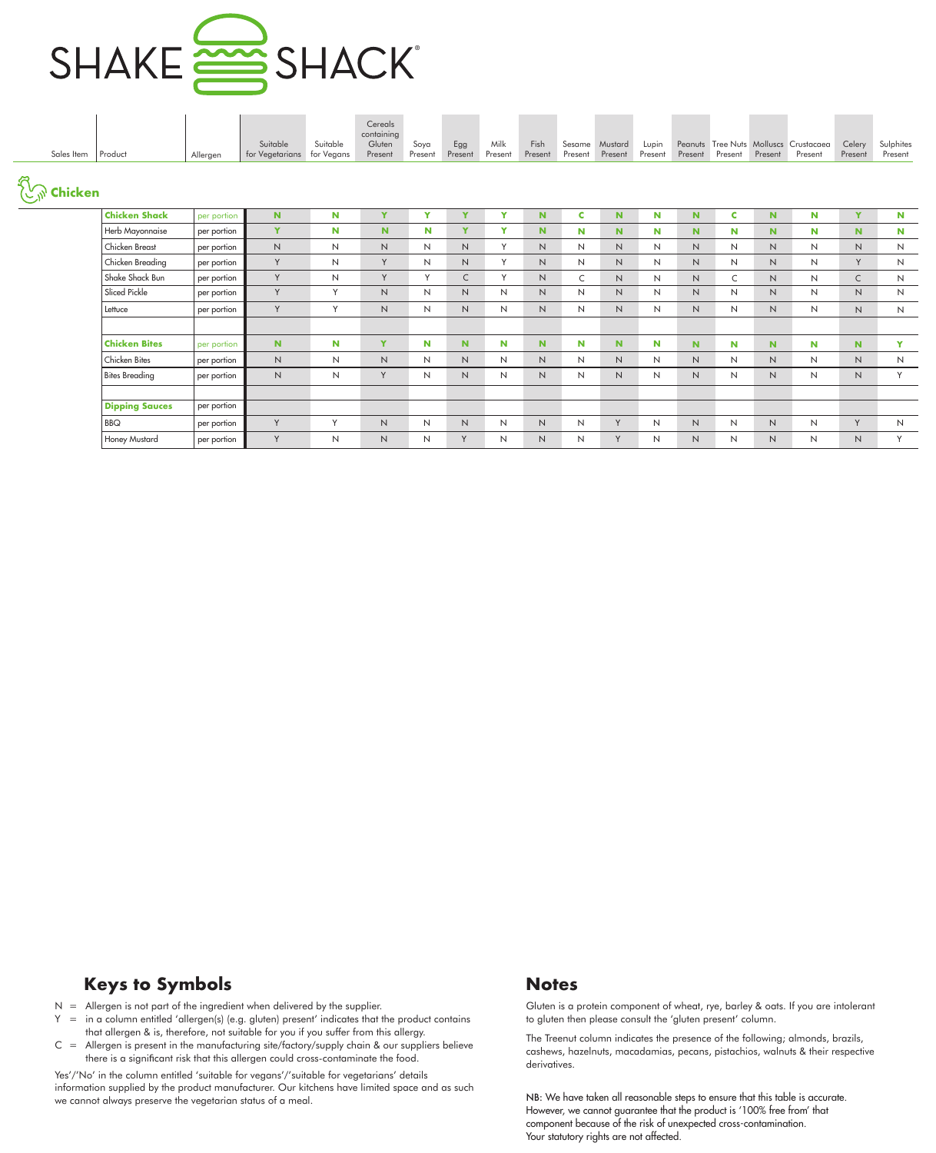

| Sales Item       | Product               | Allergen    | Suitable<br>for Vegetarians | Suitable<br>for Vegans | Cereals<br>containing<br>Gluten<br>Present | Soya<br>Present | Egg<br>Present | Milk<br>Present | Fish<br>Present | Sesame<br>Present | Mustard<br>Present | Lupin<br>Present | Present        | Present      | Present      | Peanuts Tree Nuts Molluscs Crustacaea<br>Present | Celery<br>Present | Sulphites<br>Present |
|------------------|-----------------------|-------------|-----------------------------|------------------------|--------------------------------------------|-----------------|----------------|-----------------|-----------------|-------------------|--------------------|------------------|----------------|--------------|--------------|--------------------------------------------------|-------------------|----------------------|
| <b>Example 1</b> |                       |             |                             |                        |                                            |                 |                |                 |                 |                   |                    |                  |                |              |              |                                                  |                   |                      |
|                  | <b>Chicken Shack</b>  | per portion | N                           | N                      | Y                                          | Y               | Y              | Y               | N.              | C                 | N.                 | N                | N              | c            | $\mathbf N$  | N                                                | Y                 | N                    |
|                  | Herb Mayonnaise       | per portion | Y                           | N                      | $\mathbf N$                                | N               | Y              | Y               | N.              | N                 | N.                 | N                | $\mathbf N$    | N            | N.           | N                                                | N.                | N                    |
|                  | Chicken Breast        | per portion | $\mathsf{N}$                | $\mathsf{N}$           | N                                          | $\mathsf{N}$    | N              | Y               | $\overline{N}$  | N                 | $\mathsf{N}$       | N                | $\mathsf N$    | $\mathsf{N}$ | N            | $\mathsf{N}$                                     | N                 | $\mathsf{N}$         |
|                  | Chicken Breading      | per portion | Y                           | $\mathsf{N}$           | Y                                          | N               | N              | Y               | N.              | N                 | N                  | N                | $\mathsf{N}$   | $\mathsf{N}$ | N            | N                                                | Y                 | $\mathsf{N}$         |
|                  | Shake Shack Bun       | per portion | Y                           | $\mathsf{N}$           | Y                                          | Y               | $\mathsf{C}$   | Y               | $\overline{N}$  | C                 | $\mathsf{N}$       | N                | N              | C            | $\mathsf{N}$ | N                                                | $\mathsf{C}$      | $\mathsf{N}$         |
|                  | Sliced Pickle         | per portion | Y                           | Y                      | N                                          | N               | N              | N               | N               | N                 | $\mathsf{N}$       | N                | N              | $\mathsf{N}$ | N            | N                                                | N                 | N                    |
|                  | Lettuce               | per portion | Y                           | Y                      | N                                          | N               | N              | N               | N.              | N                 | N                  | N                | $\mathsf{N}$   | $\mathsf{N}$ | N.           | $\mathsf{N}$                                     | N                 | N                    |
|                  |                       |             |                             |                        |                                            |                 |                |                 |                 |                   |                    |                  |                |              |              |                                                  |                   |                      |
|                  | <b>Chicken Bites</b>  | per portion | N                           | N                      | Y                                          | N               | N.             | N               | N               | N                 | N.                 | N                | N.             | N            | N            | N                                                | N                 | Y                    |
|                  | Chicken Bites         | per portion | N                           | N                      | N                                          | N               | N              | N               | N.              | N                 | N                  | N                | N              | N            | N            | N                                                | N                 | N                    |
|                  | <b>Bites Breading</b> | per portion | N                           | N                      | Y                                          | N               | N              | N               | N.              | N                 | N                  | N                | $\overline{N}$ | N            | N            | N                                                | N                 | Y                    |
|                  |                       |             |                             |                        |                                            |                 |                |                 |                 |                   |                    |                  |                |              |              |                                                  |                   |                      |
|                  | <b>Dipping Sauces</b> | per portion |                             |                        |                                            |                 |                |                 |                 |                   |                    |                  |                |              |              |                                                  |                   |                      |
|                  | <b>BBQ</b>            | per portion | Y                           | Y                      | $\mathsf{N}$                               | N               | $\mathsf{N}$   | $\mathsf{N}$    | N               | $\mathsf{N}$      | Y                  | $\mathsf{N}$     | $\mathsf{N}$   | N            | N            | N                                                | Y                 | $\overline{N}$       |
|                  | Honey Mustard         | per portion | Y                           | $\mathsf{N}$           | $\overline{N}$                             | $\mathsf{N}$    | Y              | N               | N               | N                 | Y                  | N                | $\overline{N}$ | N            | N            | $\mathsf{N}$                                     | $\mathsf{N}$      | Y                    |

- $N =$  Allergen is not part of the ingredient when delivered by the supplier.
- Y = in a column entitled 'allergen(s) (e.g. gluten) present' indicates that the product contains that allergen & is, therefore, not suitable for you if you suffer from this allergy.
- $C =$  Allergen is present in the manufacturing site/factory/supply chain & our suppliers believe there is a significant risk that this allergen could cross-contaminate the food.

Yes'/'No' in the column entitled 'suitable for vegans'/'suitable for vegetarians' details information supplied by the product manufacturer. Our kitchens have limited space and as such we cannot always preserve the vegetarian status of a meal.

Gluten is a protein component of wheat, rye, barley & oats. If you are intolerant to gluten then please consult the 'gluten present' column.

The Treenut column indicates the presence of the following; almonds, brazils, cashews, hazelnuts, macadamias, pecans, pistachios, walnuts & their respective derivatives.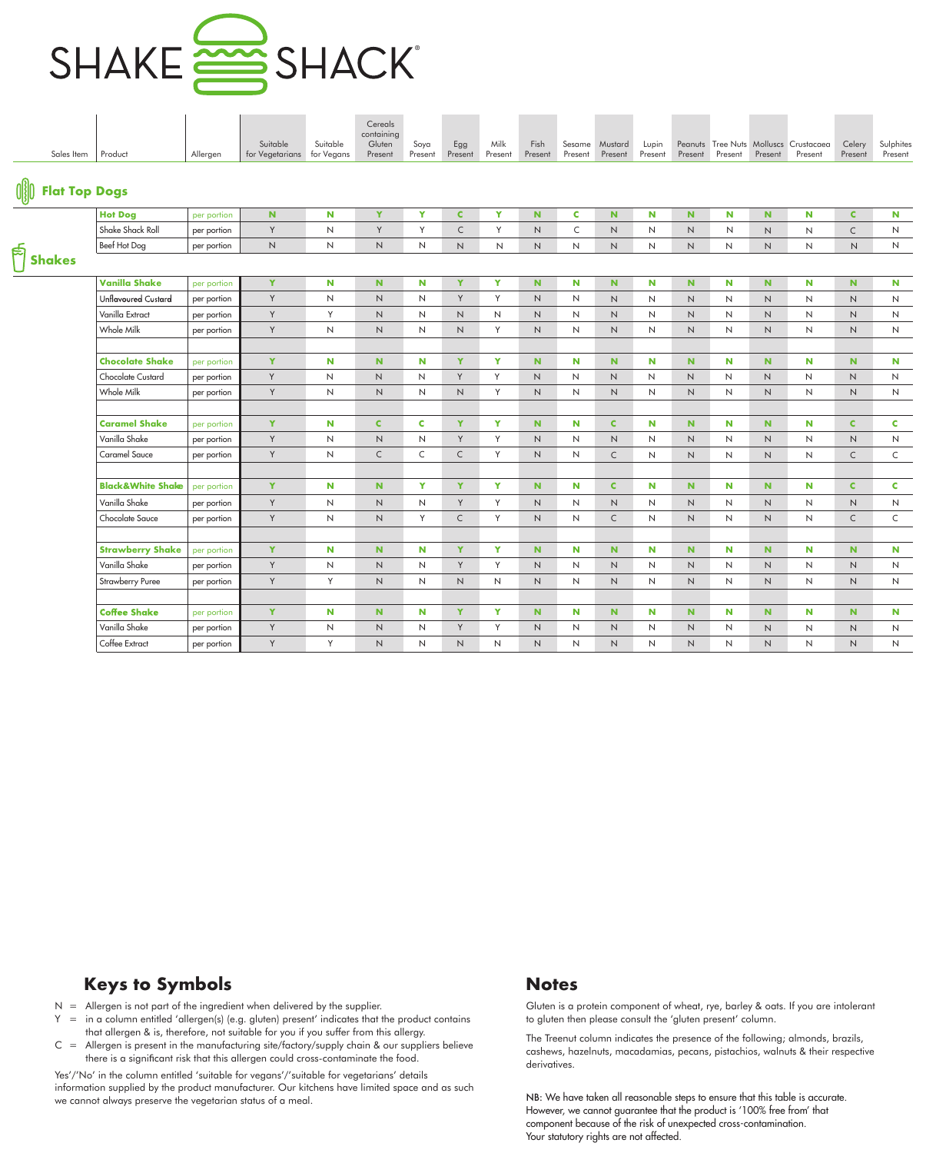

| Sales Item                                                              | Product                      | Allergen    | Suitable<br>for Vegetarians for Vegans | Suitable     | Cereals<br>containing<br>Gluten<br>Present | Soya<br>Present     | Egg<br>Present | Milk<br>Present | Fish<br>Present | Sesame<br>Present | Mustard<br>Present | Lupin<br>Present | Present      | Present             | Present      | Peanuts Tree Nuts Molluscs Crustacaea<br>Present | Celery<br>Present | Sulphites<br>Present |
|-------------------------------------------------------------------------|------------------------------|-------------|----------------------------------------|--------------|--------------------------------------------|---------------------|----------------|-----------------|-----------------|-------------------|--------------------|------------------|--------------|---------------------|--------------|--------------------------------------------------|-------------------|----------------------|
| $\left(\begin{matrix} 0 & 0 \\ 0 & 0 \end{matrix}\right)$ Flat Top Dogs |                              |             |                                        |              |                                            |                     |                |                 |                 |                   |                    |                  |              |                     |              |                                                  |                   |                      |
|                                                                         | <b>Hot Dog</b>               | per portion | $\mathbf N$                            | N            | Y                                          | Y                   | $\mathbf{C}$   | Y               | $\mathbf N$     | C                 | N                  | N                | N            | N                   | $\mathbf N$  | N                                                | $\mathbf{C}$      | N                    |
|                                                                         | Shake Shack Roll             | per portion | Y                                      | $\mathsf N$  | Y                                          | Y                   | $\subset$      | Y               | $\mathsf N$     | C                 | $\mathsf{N}$       | N                | $\mathsf N$  | $\mathsf{N}$        | $\mathsf N$  | $\mathsf N$                                      | $\mathsf C$       | N                    |
|                                                                         | Beef Hot Dog                 | per portion | $\mathsf{N}\xspace$                    | $\mathsf{N}$ | $\mathsf{N}$                               | $\mathsf{N}$        | N              | $\mathsf{N}$    | N               | N                 | N                  | N                | N            | N                   | $\mathsf{N}$ | $\mathsf{N}$                                     | N                 | N                    |
| $\frac{1}{\sqrt{2}}$ Shakes                                             |                              |             |                                        |              |                                            |                     |                |                 |                 |                   |                    |                  |              |                     |              |                                                  |                   |                      |
|                                                                         | <b>Vanilla Shake</b>         | per portion | Y                                      | N            | $\mathbf N$                                | N.                  | Y              | Y               | $\mathbf N$     | N                 | N                  | N                | N.           | <b>N</b>            | $\mathbf N$  | N                                                | N                 | N                    |
|                                                                         | <b>Unflavoured Custard</b>   | per portion | Y                                      | $\mathsf{N}$ | $\mathsf N$                                | $\mathsf{N}\xspace$ | Y              | Y               | N               | N                 | N                  | N                | $\sf N$      | $\mathsf{N}$        | $\sf N$      | $\mathsf{N}$                                     | $\sf N$           | N                    |
|                                                                         | Vanilla Extract              | per portion | Y                                      | Y            | $\mathsf{N}$                               | N                   | N              | N               | N               | N                 | N                  | N                | N            | N                   | N            | $\mathsf{N}$                                     | N                 | N                    |
|                                                                         | Whole Milk                   | per portion | Y                                      | N            | N                                          | N                   | N              | Y               | N               | N                 | N                  | N                | N            | N                   | $\mathsf{N}$ | N                                                | N                 | N                    |
|                                                                         |                              |             |                                        |              |                                            |                     |                |                 |                 |                   |                    |                  |              |                     |              |                                                  |                   |                      |
|                                                                         | <b>Chocolate Shake</b>       | per portion | Y                                      | N            | $\mathbf N$                                | N                   | Y              | Y               | N.              | N                 | $\mathbf N$        | N                | $\mathbf N$  | N                   | $\mathbf N$  | N                                                | N                 | N                    |
|                                                                         | <b>Chocolate Custard</b>     | per portion | Y                                      | $\mathsf{N}$ | $\mathsf N$                                | N                   | Y              | Y               | N               | N                 | N                  | N                | $\mathsf{N}$ | N                   | N            | $\mathsf{N}$                                     | $\mathsf{N}$      | N                    |
|                                                                         | Whole Milk                   | per portion | Y                                      | N            | $\ensuremath{\mathsf{N}}$                  | N                   | N              | Y               | N               | N                 | N                  | N                | N            | N                   | $\mathsf{N}$ | $\mathsf{N}$                                     | N                 | N                    |
|                                                                         |                              |             |                                        |              |                                            |                     |                |                 |                 |                   |                    |                  |              |                     |              |                                                  |                   |                      |
|                                                                         | <b>Caramel Shake</b>         | per portion | Y                                      | N            | $\mathbf{C}$                               | $\mathbf c$         | Y              | Y               | $\mathbf N$     | N                 | $\mathbf C$        | N                | N            | N                   | $\mathbf N$  | N                                                | $\mathbf C$       | C                    |
|                                                                         | Vanilla Shake                | per portion | Y                                      | $\mathsf{N}$ | $\mathsf N$                                | $\mathsf{N}$        | Y              | Y               | N               | N                 | $\mathsf{N}$       | N                | N            | N                   | $\mathsf{N}$ | $\mathsf{N}$                                     | N                 | $\mathsf{N}$         |
|                                                                         | Caramel Sauce                | per portion | Y                                      | N            | $\mathsf{C}$                               | C                   | $\mathsf{C}$   | Y               | N               | N                 | $\mathsf{C}$       | N                | N            | N                   | N            | $\mathsf{N}$                                     | $\mathsf{C}$      | $\mathsf C$          |
|                                                                         |                              |             |                                        |              |                                            |                     |                |                 |                 |                   |                    |                  |              |                     |              |                                                  |                   |                      |
|                                                                         | <b>Black&amp;White Shake</b> | per portion | Y                                      | N            | ${\bf N}$                                  | Y                   | Y              | Y               | $\mathbf N$     | N                 | $\mathbf C$        | N                | $\mathbf N$  | N                   | N            | N                                                | $\mathbf C$       | C                    |
|                                                                         | Vanilla Shake                | per portion | Y                                      | N            | $\hbox{N}$                                 | N                   | Y              | Y               | N               | N                 | $\mathsf{N}$       | N                | $\hbox{N}$   | $\mathsf{N}$        | $\mathsf N$  | N                                                | $\sf N$           | N                    |
|                                                                         | Chocolate Sauce              | per portion | Y                                      | N            | $\mathsf{N}$                               | Y                   | $\mathsf{C}$   | Y               | N               | N                 | $\mathsf{C}$       | N                | N            | $\mathsf{N}$        | $\mathsf{N}$ | $\mathsf{N}$                                     | $\mathsf{C}$      | $\mathsf{C}$         |
|                                                                         |                              |             |                                        |              |                                            |                     |                |                 |                 |                   |                    |                  |              |                     |              |                                                  |                   |                      |
|                                                                         | <b>Strawberry Shake</b>      | per portion | Y                                      | N            | $\mathbf N$                                | <b>N</b>            | Y              | Y               | $\mathbf N$     | N                 | N                  | N                | $\mathbf N$  | N                   | $\mathbf N$  | N                                                | <b>N</b>          | N                    |
|                                                                         | Vanilla Shake                | per portion | Y                                      | $\mathsf{N}$ | $\ensuremath{\mathsf{N}}$                  | $\mathsf{N}$        | Y              | Y               | N               | N                 | $\hbox{N}$         | $\mathsf{N}$     | $\hbox{N}$   | $\mathsf{N}\xspace$ | $\hbox{N}$   | $\sf N$                                          | $\hbox{N}$        | $\mathsf{N}$         |
|                                                                         | <b>Strawberry Puree</b>      | per portion | Y                                      | Y            | N                                          | $\mathsf{N}$        | N              | N               | N               | N                 | N                  | N                | N            | N                   | $\mathsf{N}$ | N                                                | N                 | N                    |
|                                                                         |                              |             |                                        |              |                                            |                     |                |                 |                 |                   |                    |                  |              |                     |              |                                                  |                   |                      |
|                                                                         | <b>Coffee Shake</b>          | per portion | Y                                      | N            | $\mathbf N$                                | N                   | Y              | Y               | $\mathbf N$     | N                 | N                  | N                | $\mathbf N$  | N                   | N            | N                                                | $\mathbf N$       | N                    |
|                                                                         | Vanilla Shake                | per portion | Y                                      | $\mathsf{N}$ | $\ensuremath{\mathsf{N}}$                  | N                   | Y              | Y               | N               | N                 | N                  | N                | N            | N                   | $\mathsf N$  | N                                                | N                 | N                    |
|                                                                         | Coffee Extract               | per portion | Y                                      | Y            | $\mathsf{N}$                               | N                   | N              | N               | N               | N                 | N                  | N                | $\mathsf{N}$ | N                   | $\mathsf{N}$ | N                                                | N                 | N                    |

 $N =$  Allergen is not part of the ingredient when delivered by the supplier.

- $Y =$  in a column entitled 'allergen(s) (e.g. gluten) present' indicates that the product contains that allergen & is, therefore, not suitable for you if you suffer from this allergy.
- $C =$  Allergen is present in the manufacturing site/factory/supply chain & our suppliers believe there is a significant risk that this allergen could cross-contaminate the food.

Yes'/'No' in the column entitled 'suitable for vegans'/'suitable for vegetarians' details information supplied by the product manufacturer. Our kitchens have limited space and as such we cannot always preserve the vegetarian status of a meal.

Gluten is a protein component of wheat, rye, barley & oats. If you are intolerant to gluten then please consult the 'gluten present' column.

The Treenut column indicates the presence of the following; almonds, brazils, cashews, hazelnuts, macadamias, pecans, pistachios, walnuts & their respective derivatives.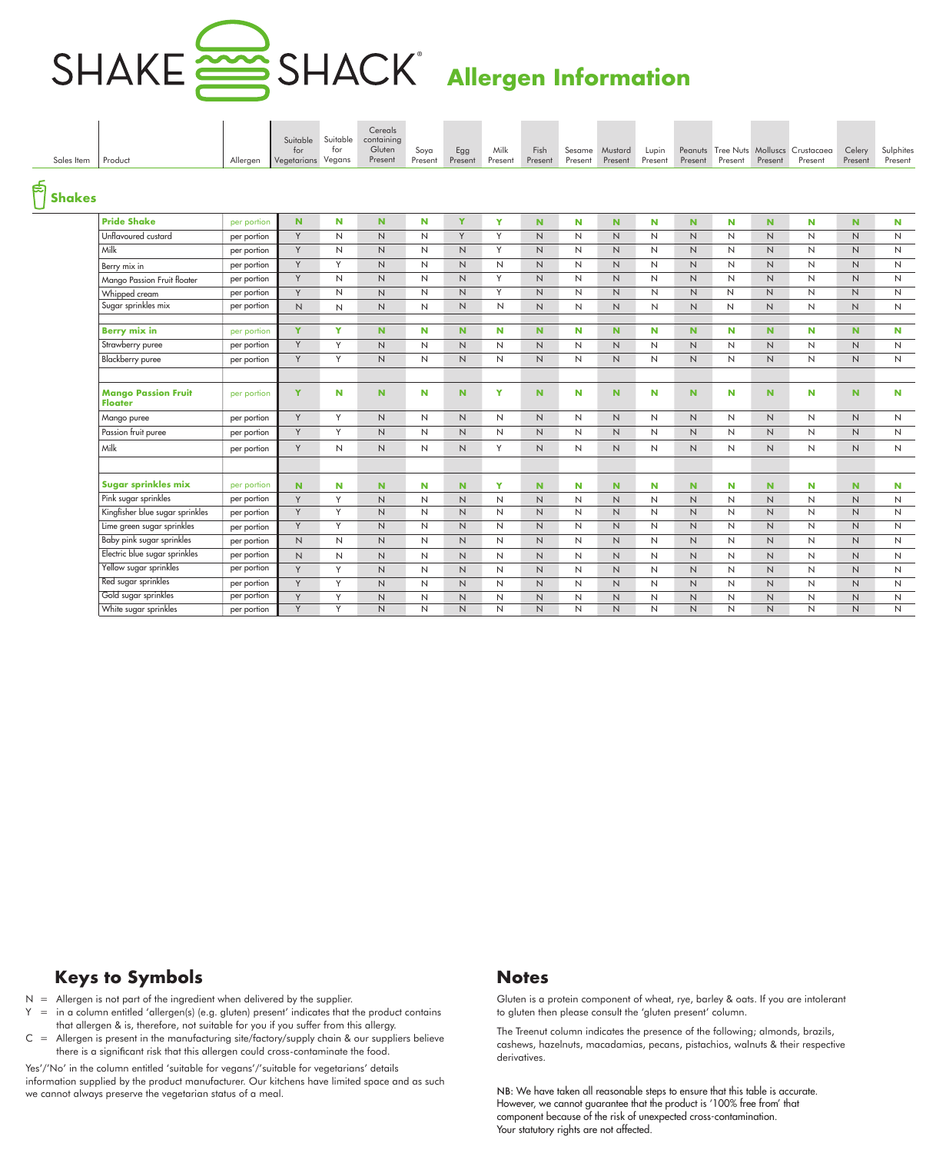# ®

## **Allergen Information**

| Sales Item    | Product                                      | Allergen    | Suitable<br>for<br>Vegetarians Vegans | Suitable<br>for | Cereals<br>containing<br>Gluten<br>Present | Soya<br>Present | Egg<br>Present | Milk<br>Present | Fish<br>Present | Sesame<br>Present | Mustard<br>Present  | Lupin<br>Present | Present        | Present      | Present        | Peanuts Tree Nuts Molluscs Crustacaea<br>Present | Celery<br>Present | Sulphites<br>Present |
|---------------|----------------------------------------------|-------------|---------------------------------------|-----------------|--------------------------------------------|-----------------|----------------|-----------------|-----------------|-------------------|---------------------|------------------|----------------|--------------|----------------|--------------------------------------------------|-------------------|----------------------|
| <b>Shakes</b> |                                              |             |                                       |                 |                                            |                 |                |                 |                 |                   |                     |                  |                |              |                |                                                  |                   |                      |
|               | <b>Pride Shake</b>                           | per portion | $\mathbf N$                           | N               | N.                                         | N               | Y              | Y               | N.              | N                 | N.                  | N                | N.             | $\mathbf N$  | N              | N                                                | N                 | N                    |
|               | Unflavoured custard                          | per portion | Y                                     | N               | N.                                         | $\mathsf{N}$    | Y              | Y               | N.              | N                 | $\mathsf{N}$        | $\mathsf{N}$     | $\mathsf{N}$   | $\mathsf{N}$ | $\mathsf{N}$   | N                                                | $\mathsf{N}$      | $\mathsf{N}\xspace$  |
|               | Milk                                         | per portion | Y                                     | N               | N                                          | $\mathsf{N}$    | N              | Y               | N.              | N                 | N                   | N                | N.             | N            | N              | N                                                | N.                | $\mathsf{N}$         |
|               | Berry mix in                                 | per portion | Y                                     | Y               | N                                          | $\mathsf{N}$    | N              | N               | $\mathsf{N}$    | N                 | N                   | $\mathsf{N}$     | N              | N            | N              | N                                                | $\mathsf{N}$      | $\mathsf{N}$         |
|               | Mango Passion Fruit floater                  | per portion | Y                                     | $\mathsf{N}$    | N.                                         | $\mathsf{N}$    | N              | Y               | $\overline{N}$  | N                 | $\mathsf{N}\xspace$ | $\mathsf{N}$     | $\overline{N}$ | N            | $\mathsf N$    | N                                                | $\overline{N}$    | $\mathsf{N}\xspace$  |
|               | Whipped cream                                | per portion | Y                                     | $\mathsf{N}$    | N                                          | $\mathsf{N}$    | N              | Y               | N               | N                 | N                   | N                | $\mathsf{N}$   | $\mathsf{N}$ | N              | N                                                | N.                | $\mathsf{N}$         |
|               | Sugar sprinkles mix                          | per portion | $\hbox{N}$                            | N               | N                                          | $\mathsf{N}$    | N              | $\mathsf{N}$    | $\mathsf{N}$    | N                 | N                   | $\mathsf{N}$     | $\overline{N}$ | N            | $\mathsf{N}$   | N                                                | N                 | $\mathsf{N}$         |
|               |                                              |             |                                       |                 |                                            |                 |                |                 |                 |                   |                     |                  |                |              |                |                                                  |                   |                      |
|               | <b>Berry mix in</b>                          | per portion | Y                                     | Y               | N                                          | N               | N              | N               | N.              | N                 | $\mathbf N$         | N                | $\mathbf N$    | N            | $\mathbf N$    | N                                                | N.                | N                    |
|               | Strawberry puree                             | per portion | Y                                     | Y               | N.                                         | N               | N              | N               | N               | N                 | N                   | N                | $\overline{N}$ | N            | N              | N                                                | N                 | $\mathsf{N}$         |
|               | <b>Blackberry</b> puree                      | per portion | Y                                     | Y               | $\overline{N}$                             | $\mathsf N$     | $\mathsf N$    | N               | N               | N                 | N                   | $\mathsf{N}$     | N              | N            | $\mathsf{N}$   | N                                                | N                 | $\mathsf{N}$         |
|               | <b>Mango Passion Fruit</b><br><b>Floater</b> | per portion | Y                                     | N               | N                                          | N               | N              | Y               | N               | N                 | N                   | N                | $\mathbf N$    | N            | N              | N                                                | N.                | N                    |
|               | Mango puree                                  | per portion | Y                                     | Y               | N                                          | $\mathsf{N}$    | N              | N               | N               | N                 | N                   | N                | $\mathsf{N}$   | N            | N              | N                                                | N                 | $\mathsf{N}$         |
|               | Passion fruit puree                          | per portion | Y                                     | Y               | N                                          | $\mathsf{N}$    | N              | N               | $\mathsf{N}$    | N                 | N                   | N                | N              | N            | $\mathsf N$    | N                                                | $\mathsf{N}$      | $\mathsf{N}$         |
|               | Milk                                         | per portion | Y                                     | $\mathsf{N}$    | $\overline{N}$                             | $\mathsf{N}$    | $\mathsf N$    | Y               | $\mathsf{N}$    | N                 | N                   | $\mathsf{N}$     | $\mathsf{N}$   | N            | $\mathsf N$    | N                                                | $\mathsf{N}$      | $\mathsf{N}$         |
|               |                                              |             |                                       |                 |                                            |                 |                |                 |                 |                   |                     |                  |                |              |                |                                                  |                   |                      |
|               | Sugar sprinkles mix                          | per portion | N.                                    | N               | N.                                         | N               | N              | Y               | N.              | N                 | N.                  | N                | $\mathbf N$    | N            | $\mathbf N$    | N                                                | N.                | N                    |
|               | Pink sugar sprinkles                         | per portion | Y                                     | Y               | $\overline{N}$                             | $\mathsf{N}$    | $\mathsf N$    | $\mathsf{N}$    | N               | N                 | N                   | $\mathsf{N}$     | $\mathsf{N}$   | $\mathsf{N}$ | $\mathsf{N}$   | N                                                | N                 | $\mathsf{N}$         |
|               | Kingfisher blue sugar sprinkles              | per portion | Y                                     | Y               | N                                          | N               | N              | N               | N.              | N                 | N                   | N                | N              | N            | N              | N                                                | N.                | $\mathsf{N}$         |
|               | Lime green sugar sprinkles                   | per portion | Y                                     | Y               | N                                          | $\mathsf{N}$    | N              | N               | N.              | N                 | N                   | N                | $\mathsf{N}$   | N            | $\mathsf{N}$   | N                                                | $\mathsf{N}$      | $\mathsf{N}\xspace$  |
|               | Baby pink sugar sprinkles                    | per portion | N                                     | N               | N                                          | N               | N              | N               | N               | N                 | N                   | $\mathsf{N}$     | N              | N            | N              | N                                                | N                 | N                    |
|               | Electric blue sugar sprinkles                | per portion | N                                     | $\mathsf{N}$    | $\overline{N}$                             | $\mathsf{N}$    | $\hbox{N}$     | $\mathsf{N}$    | $\mathsf{N}$    | N                 | N                   | $\mathsf{N}$     | $\mathsf N$    | $\mathsf{N}$ | $\mathsf{N}$   | N                                                | $\mathsf{N}$      | $\mathsf{N}\xspace$  |
|               | Yellow sugar sprinkles                       | per portion | Y                                     | Y               | N                                          | $\mathsf{N}$    | $\mathsf{N}$   | N               | N               | N                 | N                   | N                | $\mathsf{N}$   | N            | $\mathsf{N}$   | N                                                | N                 | $\mathsf{N}$         |
|               | Red sugar sprinkles                          | per portion | Y                                     | Y               | N                                          | $\mathsf{N}$    | N              | N               | $\mathsf{N}$    | N                 | N                   | $\mathsf{N}$     | N              | $\mathsf{N}$ | $\mathsf{N}$   | N                                                | $\mathsf{N}$      | $\mathsf{N}$         |
|               | Gold sugar sprinkles                         | per portion | Y                                     | Y               | N                                          | $\mathsf{N}$    | N              | N               | $\mathsf{N}$    | N                 | N                   | $\mathsf{N}$     | N              | $\mathsf{N}$ | $\mathsf{N}$   | N                                                | N                 | $\mathsf{N}$         |
|               | White sugar sprinkles                        | per portion | Y                                     | Y               | N                                          | $\mathsf{N}$    | $\overline{N}$ | $\overline{N}$  | $\mathsf{N}$    | N                 | $\mathsf{N}$        | $\mathsf{N}$     | N              | N            | $\overline{N}$ | N                                                | $\mathsf{N}$      | $\overline{N}$       |

### **Keys to Symbols Notes**

- $N =$  Allergen is not part of the ingredient when delivered by the supplier.
- Y = in a column entitled 'allergen(s) (e.g. gluten) present' indicates that the product contains that allergen & is, therefore, not suitable for you if you suffer from this allergy.
- $C =$  Allergen is present in the manufacturing site/factory/supply chain & our suppliers believe there is a significant risk that this allergen could cross-contaminate the food.

Yes'/'No' in the column entitled 'suitable for vegans'/'suitable for vegetarians' details information supplied by the product manufacturer. Our kitchens have limited space and as such we cannot always preserve the vegetarian status of a meal.

Gluten is a protein component of wheat, rye, barley & oats. If you are intolerant to gluten then please consult the 'gluten present' column.

The Treenut column indicates the presence of the following; almonds, brazils, cashews, hazelnuts, macadamias, pecans, pistachios, walnuts & their respective derivatives.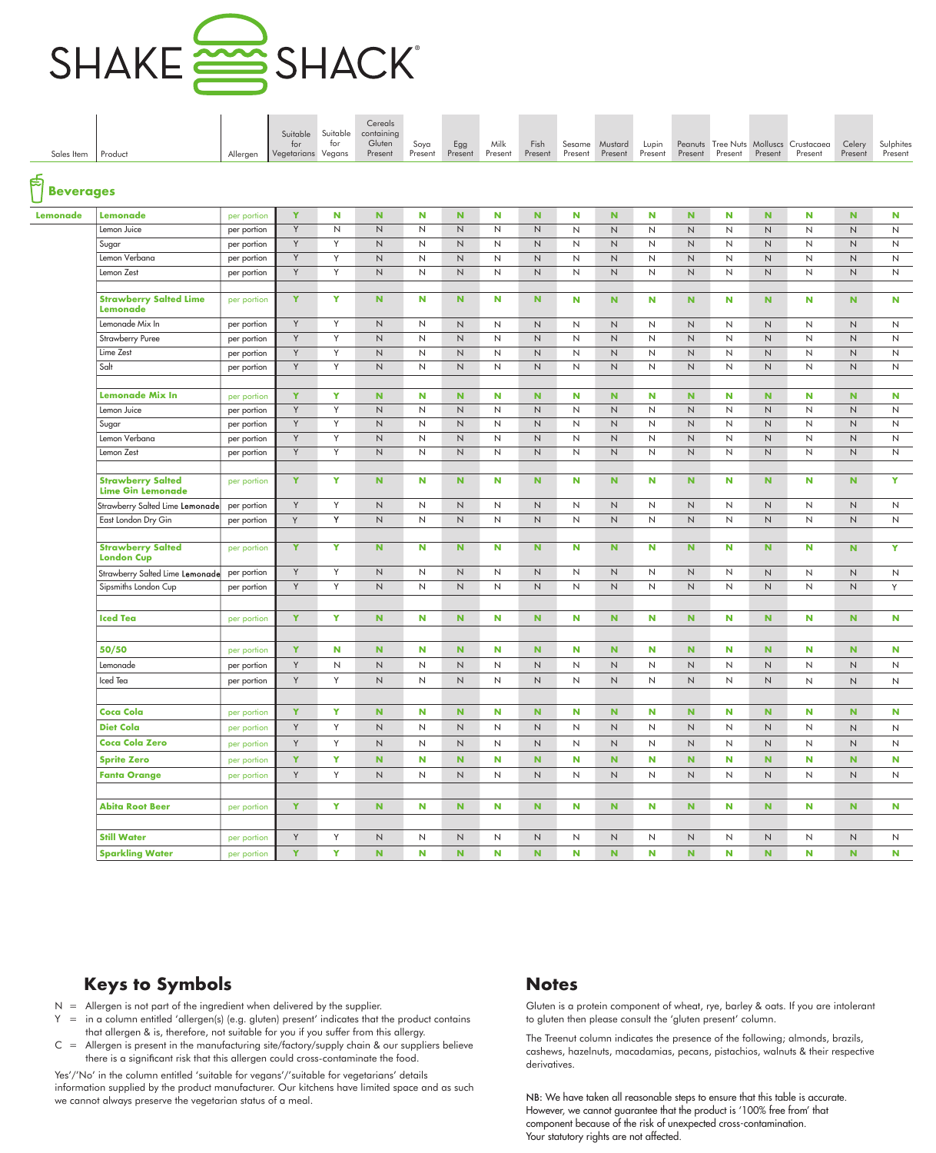

|                     |                                                      |             |                    |                 | Cereals              |         |             |              |              |              |                |                |           |              |              |                                       |              |              |
|---------------------|------------------------------------------------------|-------------|--------------------|-----------------|----------------------|---------|-------------|--------------|--------------|--------------|----------------|----------------|-----------|--------------|--------------|---------------------------------------|--------------|--------------|
|                     |                                                      |             | Suitable<br>for    | Suitable<br>for | containing<br>Gluten | Soya    | Egg         | Milk         | Fish         |              | Sesame Mustard | Lupin          |           |              |              | Peanuts Tree Nuts Molluscs Crustacaea | Celery       | Sulphites    |
| Sales Item          | Product                                              | Allergen    | Vegetarians Vegans |                 | Present              | Present | Present     | Present      | Present      | Present      | Present        | Present        | Present   | Present      | Present      | Present                               | Present      | Present      |
|                     |                                                      |             |                    |                 |                      |         |             |              |              |              |                |                |           |              |              |                                       |              |              |
| ြော<br>ပြုပြင်းများ |                                                      |             |                    |                 |                      |         |             |              |              |              |                |                |           |              |              |                                       |              |              |
| Lemonade            | Lemonade                                             | per portion | Y                  | N               | $\mathbf N$          | N       | N           | N            | N.           | N            | N.             | N              | N.        | N            | $\mathbf N$  | N                                     | $\mathbf N$  | N            |
|                     | Lemon Juice                                          | per portion | Y                  | $\mathsf{N}$    | N                    | N       | N           | $\mathsf{N}$ | $\mathsf{N}$ | $\mathsf{N}$ | N              | $\overline{N}$ | N         | $\mathsf{N}$ | $\mathsf{N}$ | N                                     | $\mathsf{N}$ | $\mathsf{N}$ |
|                     | Sugar                                                | per portion | Y                  | Y               | N                    | N       | N           | $\mathsf{N}$ | $\mathsf{N}$ | $\mathsf{N}$ | N              | $\overline{N}$ | N         | N            | N            | N                                     | N            | $\mathsf{N}$ |
|                     | Lemon Verbana                                        | per portion | Y                  | Y               | N                    | N       | N           | $\mathsf{N}$ | N            | N            | N              | $\overline{N}$ | N         | N            | N            | N                                     | N            | N            |
|                     | Lemon Zest                                           | per portion | Y                  | Y               | N                    | N       | N           | N            | N            | N            | N              | N              | N         | N            | N            | N                                     | N            | N            |
|                     |                                                      |             |                    |                 |                      |         |             |              |              |              |                |                |           |              |              |                                       |              |              |
|                     | <b>Strawberry Salted Lime</b><br>Lemonade            | per portion | Y                  | Y               | <b>N</b>             | N       | N           | N            | N.           | N            | $\mathbf N$    | N              | N         | N            | N.           | N                                     | N            | N            |
|                     | Lemonade Mix In                                      | per portion | Y                  | Y               | N                    | N       | N           | $\mathsf{N}$ | N            | N            | N              | $\mathsf{N}$   | N         | N            | N            | N                                     | N            | N            |
|                     | <b>Strawberry Puree</b>                              | per portion | Y                  | Y               | N                    | N       | N           | $\mathsf{N}$ | N            | N            | N              | $\mathsf{N}$   | N         | N            | N            | N                                     | N            | N            |
|                     | Lime Zest                                            | per portion | Y                  | Y               | N                    | N       | N           | $\mathsf{N}$ | N            | N            | N              | $\mathsf{N}$   | N         | N            | N            | N                                     | N            | N            |
|                     | Salt                                                 | per portion | Y                  | Y               | N                    | N       | N           | N            | N            | N            | N              | N              | N         | N            | N            | N                                     | N            | N            |
|                     |                                                      |             |                    |                 |                      |         |             |              |              |              |                |                |           |              |              |                                       |              |              |
|                     | <b>Lemonade Mix In</b>                               | per portion | Y                  | Y               | N                    | N       | $\mathbf N$ | N            | N.           | N            | $\mathbf N$    | N              | N         | N            | $\mathbf N$  | N                                     | N            | N            |
|                     | Lemon Juice                                          | per portion | Y                  | Y               | N                    | N       | N           | $\mathsf{N}$ | N            | N            | N              | N              | N         | N            | N            | N                                     | N            | N            |
|                     | Sugar                                                | per portion | Y                  | Y               | N                    | N       | N           | $\mathsf{N}$ | N            | N            | N              | $\mathsf{N}$   | N         | N            | N            | N                                     | N            | N            |
|                     | Lemon Verbana                                        | per portion | Y                  | Y               | N                    | N       | N           | $\mathsf{N}$ | N            | N            | N              | $\mathsf{N}$   | N         | N            | N            | $\mathsf{N}$                          | N            | N            |
|                     | Lemon Zest                                           | per portion | Y                  | Y               | N                    | N       | N           | $\mathsf{N}$ | N            | N            | N              | N              | N         | N            | N            | $\mathsf{N}$                          | N            | $\mathsf{N}$ |
|                     |                                                      |             |                    |                 |                      |         |             |              |              |              |                |                |           |              |              |                                       |              |              |
|                     | <b>Strawberry Salted</b><br><b>Lime Gin Lemonade</b> | per portion | Y                  | Y               | N                    | N       | N           | N            | N.           | N            | N              | N              | N         | N            | $\mathbf N$  | N                                     | N            | Y.           |
|                     | Strawberry Salted Lime Lemonade                      | per portion | Y                  | Y               | N                    | N       | N           | $\mathsf{N}$ | N            | $\mathsf{N}$ | N              | $\mathsf{N}$   | N         | N            | N            | $\mathsf{N}$                          | N            | N            |
|                     | East London Dry Gin                                  | per portion | Y                  | Y               | N                    | N       | N           | $\mathsf{N}$ | N.           | N            | N              | $\mathsf{N}$   | N         | N            | N            | N                                     | N            | N            |
|                     |                                                      |             |                    |                 |                      |         |             |              |              |              |                |                |           |              |              |                                       |              |              |
|                     | <b>Strawberry Salted</b><br><b>London Cup</b>        | per portion | Y                  | Y               | $\mathbf N$          | N       | N           | N            | N.           | N            | N              | N              | N         | N            | N.           | N                                     | N            | Y            |
|                     | Strawberry Salted Lime Lemonade                      | per portion | Y                  | Y               | N                    | N       | N           | N            | N            | N            | N              | $\mathsf{N}$   | N         | N            | N            | N                                     | N            | N            |
|                     | Sipsmiths London Cup                                 | per portion | Y                  | Y               | N                    | N       | N           | N            | N            | N            | N              | N              | N         | N            | N            | N                                     | N            | Y            |
|                     |                                                      |             |                    |                 |                      |         |             |              |              |              |                |                |           |              |              |                                       |              |              |
|                     | <b>Iced Tea</b>                                      | per portion | Y                  | Y               | $\mathbf N$          | N       | N           | N            | N.           | N            | $\mathbf N$    | N              | N.        | N            | N.           | N                                     | $\mathbf N$  | N            |
|                     |                                                      |             |                    |                 |                      |         |             |              |              |              |                |                |           |              |              |                                       |              |              |
|                     | 50/50                                                | per portion | Y                  | N               | $\mathbf N$          | N       | ${\bf N}$   | N            | ${\bf N}$    | N            | ${\bf N}$      | N              | ${\bf N}$ | N            | ${\bf N}$    | N                                     | $\mathbf N$  | N            |
|                     | Lemonade                                             | per portion | Y                  | $\mathsf{N}$    | N                    | N       | N           | N            | N            | N            | N              | N              | N         | N            | N            | N                                     | N            | N            |
|                     | Iced Tea                                             | per portion | Y                  | Y               | $\mathsf N$          | N       | $\,N$       | $\mathsf N$  | N            | N            | N              | $\mathsf N$    | N         | N            | N            | N                                     | $\mathsf{N}$ | N            |
|                     |                                                      |             |                    |                 |                      |         |             |              |              |              |                |                |           |              |              |                                       |              |              |
|                     | <b>Coca Cola</b>                                     | per portion | Y                  | Y               | $\mathbf N$          | N       | N.          | N            | N.           | N            | $\mathbf N$    | N              | N         | N            | N.           | N                                     | N            | N            |
|                     | <b>Diet Cola</b>                                     | per portion | Y                  | Y               | N                    | N       | N           | N            | N            | N            | N              | N              | N         | N            | N            | N                                     | $\mathsf{N}$ | N            |
|                     | <b>Coca Cola Zero</b>                                | per portion | Y                  | Y               | N                    | N       | N           | N            | N            | N            | N              | N              | N         | N            | N            | N                                     | N            | N            |
|                     | <b>Sprite Zero</b>                                   | per portion | Y                  | Y               | $\mathbf N$          | N       | N           | N            | N.           | N            | $\mathbf N$    | N              | N         | N            | $\mathbf N$  | N                                     | N            | N            |
|                     | <b>Fanta Orange</b>                                  |             | Y                  | Y               | N                    | N       | N           | N            | N            | N            | N              | $\mathsf N$    | N         | N            | N            | N                                     | N            | N            |
|                     |                                                      | per portion |                    |                 |                      |         |             |              |              |              |                |                |           |              |              |                                       |              |              |
|                     | <b>Abita Root Beer</b>                               |             | Y                  | Y               | $\mathbf N$          | N       | N.          | N            | N.           | N            | $\mathbf N$    | N              | N.        | N            | N.           | N                                     | N            | N            |
|                     |                                                      | per portion |                    |                 |                      |         |             |              |              |              |                |                |           |              |              |                                       |              |              |
|                     |                                                      |             |                    |                 |                      |         |             |              |              |              |                |                |           |              |              |                                       |              |              |
|                     | <b>Still Water</b>                                   | per portion | Y                  | Y               | $\mathsf N$          | N       | N           | $\mathsf N$  | $\mathsf{N}$ | N            | N              | N              | N         | N            | N            | N                                     | $\mathsf N$  | N            |
|                     | <b>Sparkling Water</b>                               | per portion | Y                  | Y               | $\mathbf N$          | N       | N           | N            | N.           | N            | $\mathbf N$    | N              | N         | N            | N.           | N                                     | N            | <b>N</b>     |

- $N =$  Allergen is not part of the ingredient when delivered by the supplier.
- Y = in a column entitled 'allergen(s) (e.g. gluten) present' indicates that the product contains that allergen & is, therefore, not suitable for you if you suffer from this allergy.
- $C =$  Allergen is present in the manufacturing site/factory/supply chain & our suppliers believe there is a significant risk that this allergen could cross-contaminate the food.

Yes'/'No' in the column entitled 'suitable for vegans'/'suitable for vegetarians' details information supplied by the product manufacturer. Our kitchens have limited space and as such we cannot always preserve the vegetarian status of a meal.

Gluten is a protein component of wheat, rye, barley & oats. If you are intolerant to gluten then please consult the 'gluten present' column.

The Treenut column indicates the presence of the following; almonds, brazils, cashews, hazelnuts, macadamias, pecans, pistachios, walnuts & their respective derivatives.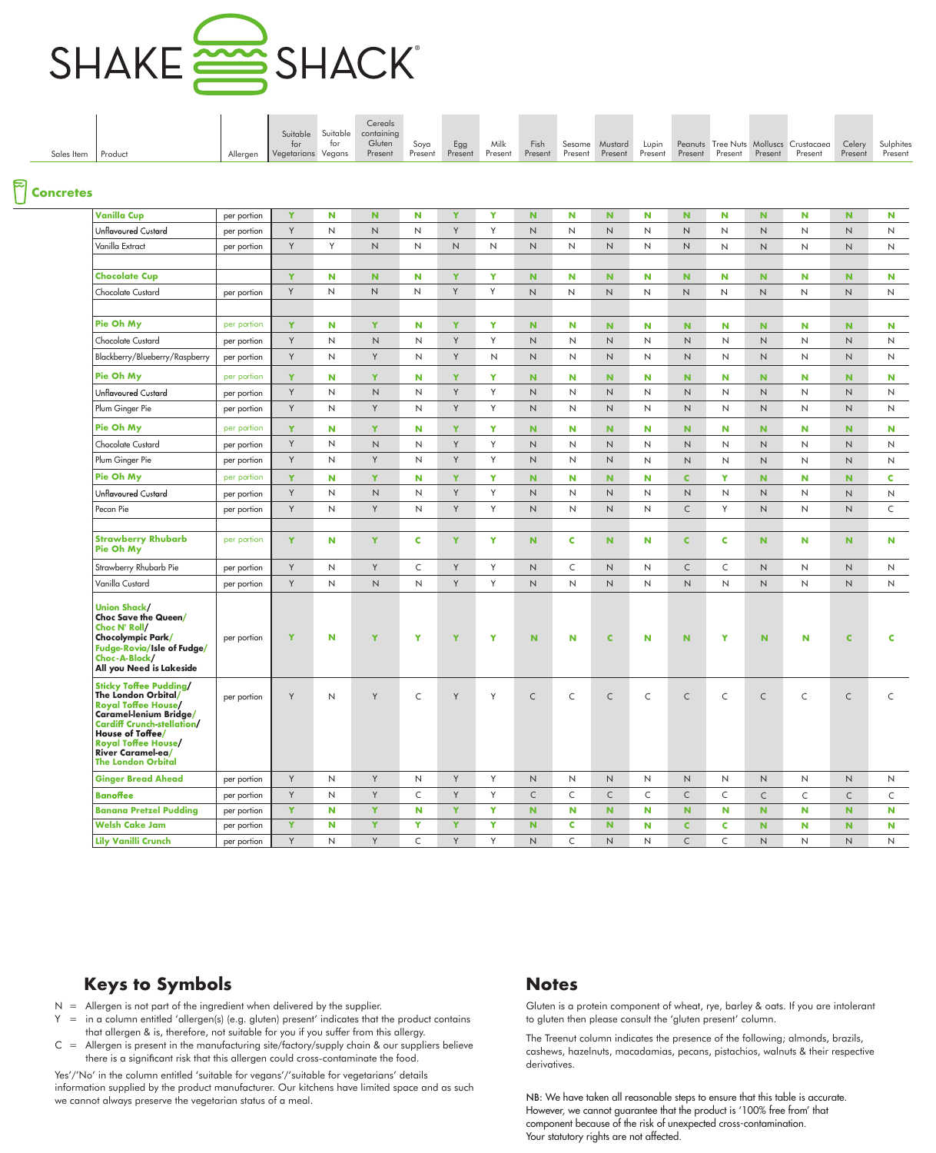

|            |         |          |                    |     | Cereals                      |         |         |                |  |                                 |  |                         |                                                                                  |         |         |
|------------|---------|----------|--------------------|-----|------------------------------|---------|---------|----------------|--|---------------------------------|--|-------------------------|----------------------------------------------------------------------------------|---------|---------|
|            |         |          |                    |     | Suitable Suitable containing |         |         |                |  |                                 |  |                         |                                                                                  |         |         |
|            |         |          |                    | tor | Gluten                       | Sova    | Egg     | Milk           |  |                                 |  |                         | Fish Sesame Mustard Lupin Peanuts Tree-Nuts Molluscs Crustacaea Celery Sulphites |         |         |
| Sales Item | Product | Alleraen | Vegetarians Vegans |     | Present                      | Present | Present | <b>Present</b> |  | Present Present Present Present |  | Present Present Present | Present                                                                          | Present | Present |

### **Concretes**

| <b>Vanilla Cup</b>                                                                                                                                                                                                                             | per portion | Y | N           | $\mathbf N$    | N            | Y           | Y            | $\mathbf N$  | N            | N.           | N | $\mathbf N$  | N            | $\mathbf N$         | N            | N.             | N            |
|------------------------------------------------------------------------------------------------------------------------------------------------------------------------------------------------------------------------------------------------|-------------|---|-------------|----------------|--------------|-------------|--------------|--------------|--------------|--------------|---|--------------|--------------|---------------------|--------------|----------------|--------------|
| Unflavoured Custard                                                                                                                                                                                                                            | per portion | Y | Ν           | $\mathsf{N}$   | $\mathsf{N}$ | Y           | Y            | $\mathsf{N}$ | N            | $\mathsf{N}$ | N | $\mathsf{N}$ | N            | $\mathsf{N}$        | N            | $\mathsf N$    | N            |
| Vanilla Extract                                                                                                                                                                                                                                | per portion | Y | Υ           | $\mathsf N$    | N            | $\mathsf N$ | $\mathsf{N}$ | $\mathsf N$  | N            | $\mathsf{N}$ | N | $\hbox{N}$   | N            | $\mathsf{N}$        | N            | $\hbox{N}$     | N            |
| <b>Chocolate Cup</b>                                                                                                                                                                                                                           |             | Y | N           | $\mathbf N$    | N            | Y           | Y            | N            | N            | N            | N | N            | N            | N                   | N            | N.             | N            |
| Chocolate Custard                                                                                                                                                                                                                              | per portion | Y | N           | $\mathsf{N}$   | N            | Y           | Y            | $\mathsf{N}$ | $\mathsf{N}$ | $\mathsf{N}$ | N | $\mathsf{N}$ | N            | $\mathsf{N}$        | $\mathsf{N}$ | $\overline{N}$ | $\mathsf{N}$ |
|                                                                                                                                                                                                                                                |             |   |             |                |              |             |              |              |              |              |   |              |              |                     |              |                |              |
| Pie Oh My                                                                                                                                                                                                                                      | per portion | Y | N           | Y              | N            | Y           | Y            | $\mathbf N$  | N            | N            | N | N            | N            | $\mathbf N$         | N            | N.             | N            |
| Chocolate Custard                                                                                                                                                                                                                              | per portion | Y | N           | N              | N            | Y           | Y            | N            | N            | N            | N | N            | N            | $\mathsf{N}$        | N            | $\mathsf{N}$   | N            |
| Blackberry/Blueberry/Raspberry                                                                                                                                                                                                                 | per portion | Y | N           | Y              | $\mathsf{N}$ | Y           | N            | $\mathsf{N}$ | $\mathsf{N}$ | $\mathsf{N}$ | N | $\mathsf{N}$ | $\mathsf{N}$ | $\mathsf{N}$        | N            | N              | N            |
| Pie Oh My                                                                                                                                                                                                                                      | per portion | Y | N           | Y              | N            | Y           | Y            | N            | N            | N            | N | N            | N            | N                   | N            | N.             | N            |
| Unflavoured Custard                                                                                                                                                                                                                            | per portion | Y | N           | N              | N            | Y           | Y            | $\mathsf{N}$ | N            | $\mathsf{N}$ | N | $\mathsf{N}$ | N            | $\mathsf{N}$        | N            | $\mathsf{N}$   | N            |
| Plum Ginger Pie                                                                                                                                                                                                                                | per portion | Y | N           | Υ              | N            | Y           | Y            | $\mathsf{N}$ | N            | N            | N | $\mathsf{N}$ | N            | $\mathsf{N}$        | N            | N              | N            |
| Pie Oh My                                                                                                                                                                                                                                      | per portion | Y | N           | Y              | N            | Y           | Y            | N            | N            | N            | N | N            | N            | N                   | N            | N.             | N            |
| Chocolate Custard                                                                                                                                                                                                                              | per portion | Y | N           | N              | N            | Y           | Y            | $\mathsf{N}$ | N            | $\mathsf{N}$ | N | $\mathsf{N}$ | N            | $\mathsf{N}\xspace$ | N            | $\mathsf N$    | N            |
| Plum Ginger Pie                                                                                                                                                                                                                                | per portion | Y | N           | Y              | N            | Y           | Y            | N            | N            | N            | N | $\mathsf{N}$ | N            | $\mathsf{N}$        | N            | N              | N            |
| Pie Oh My                                                                                                                                                                                                                                      | per portion | Y | N           | Y              | N            | Y           | Y            | N            | N            | N            | N | $\mathbf C$  | Y            | N                   | N            | N.             | C            |
| Unflavoured Custard                                                                                                                                                                                                                            | per portion | Y | Ν           | N              | N            | Y           | Y            | $\mathsf{N}$ | N            | $\mathsf{N}$ | N | $\mathsf{N}$ | $\mathsf{N}$ | $\mathsf{N}$        | N            | N              | N            |
| Pecan Pie                                                                                                                                                                                                                                      | per portion | Y | N           | Y              | N            | Y           | Y            | $\mathsf{N}$ | N            | $\mathsf{N}$ | N | $\subset$    | Y            | $\mathsf{N}$        | N            | $\mathsf{N}$   | C            |
|                                                                                                                                                                                                                                                |             |   |             |                |              |             |              |              |              |              |   |              |              |                     |              |                |              |
| <b>Strawberry Rhubarb</b><br>Pie Oh My                                                                                                                                                                                                         | per portion | Y | N           | Y              | C            | Y           | Y            | $\mathbf N$  | C            | $\mathbf N$  | N | $\mathbf C$  | C            | $\mathbf N$         | N            | N.             | N            |
| Strawberry Rhubarb Pie                                                                                                                                                                                                                         | per portion | Y | N           | Y              | C            | Y           | Y            | $\mathsf{N}$ | C            | N            | N | $\mathsf{C}$ | C            | $\mathsf{N}$        | N            | N              | N            |
| Vanilla Custard                                                                                                                                                                                                                                | per portion | Y | N           | $\mathsf{N}$   | N            | Y           | Y            | N            | $\mathsf{N}$ | N            | N | $\mathsf{N}$ | $\mathsf{N}$ | $\mathsf{N}$        | N            | N              | N            |
| <b>Union Shack/</b><br>Choc Save the Queen/<br>Choc N' Roll/<br>Chocolympic Park/<br>Fudge-Rovia/Isle of Fudge/<br>Choc-A-Block/<br>All you Need is Lakeside                                                                                   | per portion | Y | N           | Y              | Y            | Y           | Y            | N            | N            | $\mathbf C$  | N | N            | Y            | <b>N</b>            | N            | <b>C</b>       | c            |
| <b>Sticky Toffee Pudding/</b><br>The London Orbital/<br><b>Royal Toffee House/</b><br>Caramel-lenium Bridge/<br><b>Cardiff Crunch-stellation/</b><br>House of Toffee/<br>Royal Toffee House/<br>River Caramel-ea/<br><b>The London Orbital</b> | per portion | Y | N           | Υ              | C            | Y           | Y            | $\mathsf C$  | C            | $\subset$    | C | $\subset$    | C            | $\mathsf{C}$        | C            | $\mathsf{C}$   | C            |
| <b>Ginger Bread Ahead</b>                                                                                                                                                                                                                      | per portion | Y | $\mathsf N$ | Y              | N            | Y           | Y            | $\mathsf N$  | $\mathsf N$  | $\mathsf{N}$ | N | $\mathsf N$  | N            | N                   | N            | N              | $\mathsf{N}$ |
| <b>Banoffee</b>                                                                                                                                                                                                                                | per portion | Y | N           | Y              | C            | Y           | Y            | $\mathsf{C}$ | C            | $\mathsf{C}$ | C | $\mathsf{C}$ | C            | $\mathsf{C}$        | C            | $\mathsf{C}$   | C            |
| <b>Banana Pretzel Pudding</b>                                                                                                                                                                                                                  | per portion | Y | ${\bf N}$   | $\mathbf Y$    | $\mathbf N$  | Y           | Y            | ${\bf N}$    | N            | ${\bf N}$    | N | $\mathbf N$  | N            | $\mathbf N$         | N            | N              | N            |
| <b>Welsh Cake Jam</b>                                                                                                                                                                                                                          | per portion | Y | $\mathbf N$ | $\mathbf Y$    | Y            | Y           | $\mathbf Y$  | ${\bf N}$    | C            | ${\bf N}$    | N | $\mathbf C$  | C            | ${\bf N}$           | N            | N              | N            |
| <b>Lily Vanilli Crunch</b>                                                                                                                                                                                                                     | per portion | Y | $\sf N$     | $\mathsf{Y}^-$ | C            | Y           | Y            | N            | $\mathsf{C}$ | N            | N | $\mathsf{C}$ | $\mathsf{C}$ | N                   | N            | N              | N            |

## **Keys to Symbols Notes**

- $N =$  Allergen is not part of the ingredient when delivered by the supplier.
- $Y =$  in a column entitled 'allergen(s) (e.g. gluten) present' indicates that the product contains that allergen & is, therefore, not suitable for you if you suffer from this allergy.
- $C =$  Allergen is present in the manufacturing site/factory/supply chain & our suppliers believe there is a significant risk that this allergen could cross-contaminate the food.

Yes'/'No' in the column entitled 'suitable for vegans'/'suitable for vegetarians' details information supplied by the product manufacturer. Our kitchens have limited space and as such we cannot always preserve the vegetarian status of a meal.

Gluten is a protein component of wheat, rye, barley & oats. If you are intolerant to gluten then please consult the 'gluten present' column.

The Treenut column indicates the presence of the following; almonds, brazils, cashews, hazelnuts, macadamias, pecans, pistachios, walnuts & their respective derivatives.